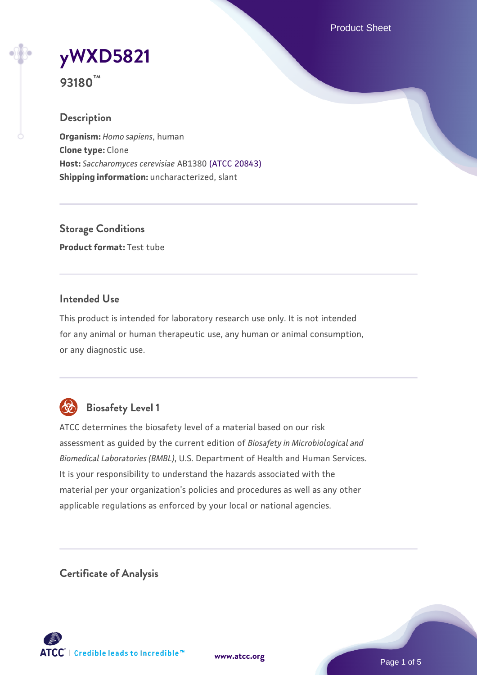Product Sheet

# **[yWXD5821](https://www.atcc.org/products/93180)**

**93180™**

## **Description**

**Organism:** *Homo sapiens*, human **Clone type:** Clone **Host:** *Saccharomyces cerevisiae* AB1380 [\(ATCC 20843\)](https://www.atcc.org/products/20843) **Shipping information:** uncharacterized, slant

**Storage Conditions Product format:** Test tube

## **Intended Use**

This product is intended for laboratory research use only. It is not intended for any animal or human therapeutic use, any human or animal consumption, or any diagnostic use.



# **Biosafety Level 1**

ATCC determines the biosafety level of a material based on our risk assessment as guided by the current edition of *Biosafety in Microbiological and Biomedical Laboratories (BMBL)*, U.S. Department of Health and Human Services. It is your responsibility to understand the hazards associated with the material per your organization's policies and procedures as well as any other applicable regulations as enforced by your local or national agencies.

**Certificate of Analysis**

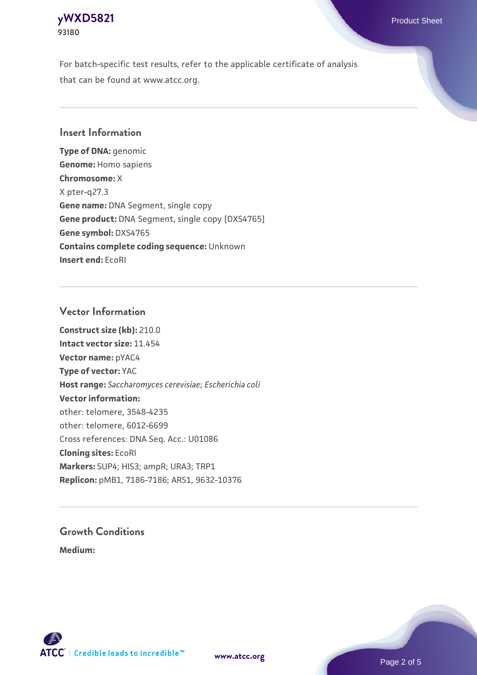## **[yWXD5821](https://www.atcc.org/products/93180)** Product Sheet **93180**

For batch-specific test results, refer to the applicable certificate of analysis that can be found at www.atcc.org.

## **Insert Information**

**Type of DNA:** genomic **Genome:** Homo sapiens **Chromosome:** X X pter-q27.3 **Gene name:** DNA Segment, single copy **Gene product:** DNA Segment, single copy [DXS4765] **Gene symbol:** DXS4765 **Contains complete coding sequence:** Unknown **Insert end:** EcoRI

## **Vector Information**

**Construct size (kb):** 210.0 **Intact vector size:** 11.454 **Vector name:** pYAC4 **Type of vector:** YAC **Host range:** *Saccharomyces cerevisiae*; *Escherichia coli* **Vector information:** other: telomere, 3548-4235 other: telomere, 6012-6699 Cross references: DNA Seq. Acc.: U01086 **Cloning sites:** EcoRI **Markers:** SUP4; HIS3; ampR; URA3; TRP1 **Replicon:** pMB1, 7186-7186; ARS1, 9632-10376

# **Growth Conditions**

**Medium:** 



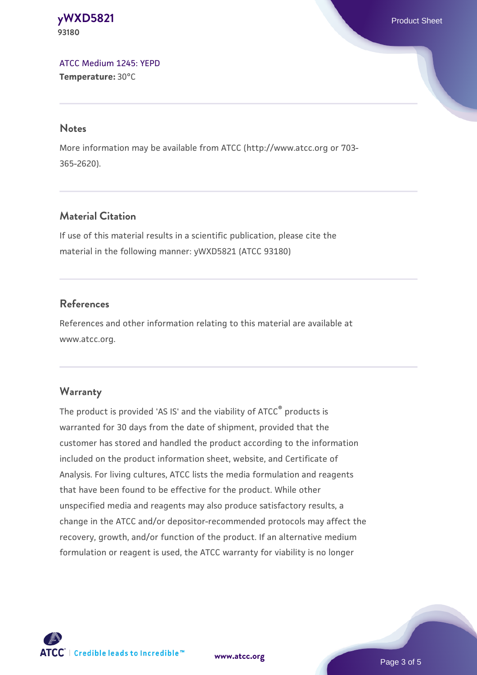**[yWXD5821](https://www.atcc.org/products/93180)** Product Sheet **93180**

[ATCC Medium 1245: YEPD](https://www.atcc.org/-/media/product-assets/documents/microbial-media-formulations/1/2/4/5/atcc-medium-1245.pdf?rev=705ca55d1b6f490a808a965d5c072196) **Temperature:** 30°C

#### **Notes**

More information may be available from ATCC (http://www.atcc.org or 703- 365-2620).

## **Material Citation**

If use of this material results in a scientific publication, please cite the material in the following manner: yWXD5821 (ATCC 93180)

## **References**

References and other information relating to this material are available at www.atcc.org.

#### **Warranty**

The product is provided 'AS IS' and the viability of ATCC® products is warranted for 30 days from the date of shipment, provided that the customer has stored and handled the product according to the information included on the product information sheet, website, and Certificate of Analysis. For living cultures, ATCC lists the media formulation and reagents that have been found to be effective for the product. While other unspecified media and reagents may also produce satisfactory results, a change in the ATCC and/or depositor-recommended protocols may affect the recovery, growth, and/or function of the product. If an alternative medium formulation or reagent is used, the ATCC warranty for viability is no longer



**[www.atcc.org](http://www.atcc.org)**

Page 3 of 5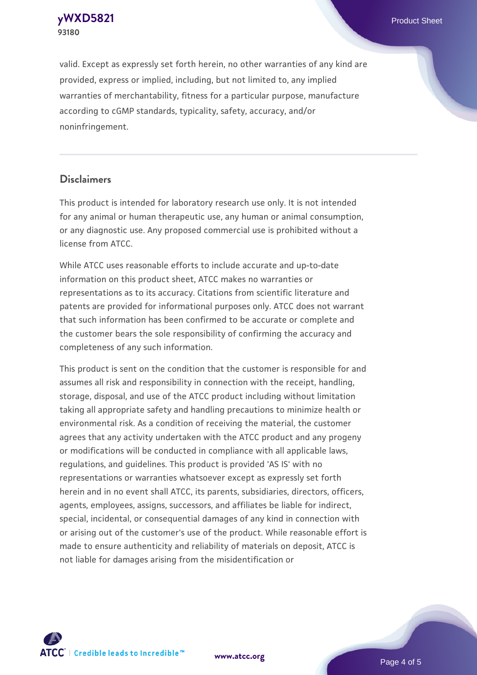**[yWXD5821](https://www.atcc.org/products/93180)** Product Sheet **93180**

valid. Except as expressly set forth herein, no other warranties of any kind are provided, express or implied, including, but not limited to, any implied warranties of merchantability, fitness for a particular purpose, manufacture according to cGMP standards, typicality, safety, accuracy, and/or noninfringement.

#### **Disclaimers**

This product is intended for laboratory research use only. It is not intended for any animal or human therapeutic use, any human or animal consumption, or any diagnostic use. Any proposed commercial use is prohibited without a license from ATCC.

While ATCC uses reasonable efforts to include accurate and up-to-date information on this product sheet, ATCC makes no warranties or representations as to its accuracy. Citations from scientific literature and patents are provided for informational purposes only. ATCC does not warrant that such information has been confirmed to be accurate or complete and the customer bears the sole responsibility of confirming the accuracy and completeness of any such information.

This product is sent on the condition that the customer is responsible for and assumes all risk and responsibility in connection with the receipt, handling, storage, disposal, and use of the ATCC product including without limitation taking all appropriate safety and handling precautions to minimize health or environmental risk. As a condition of receiving the material, the customer agrees that any activity undertaken with the ATCC product and any progeny or modifications will be conducted in compliance with all applicable laws, regulations, and guidelines. This product is provided 'AS IS' with no representations or warranties whatsoever except as expressly set forth herein and in no event shall ATCC, its parents, subsidiaries, directors, officers, agents, employees, assigns, successors, and affiliates be liable for indirect, special, incidental, or consequential damages of any kind in connection with or arising out of the customer's use of the product. While reasonable effort is made to ensure authenticity and reliability of materials on deposit, ATCC is not liable for damages arising from the misidentification or



**[www.atcc.org](http://www.atcc.org)**

Page 4 of 5